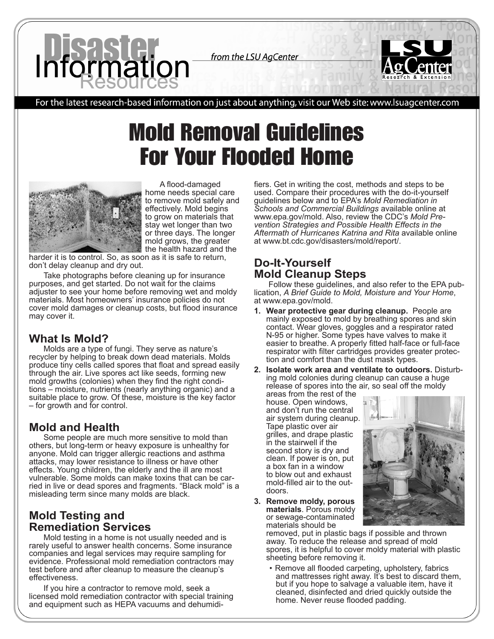from the LSU AgCenter



For the latest research-based information on just about anything, visit our Web site: www.lsuagcenter.com

## Mold Removal Guidelines For Your Flooded Home



A flood-damaged home needs special care to remove mold safely and effectively. Mold begins to grow on materials that stay wet longer than two or three days. The longer mold grows, the greater the health hazard and the

harder it is to control. So, as soon as it is safe to return, don't delay cleanup and dry out.

Take photographs before cleaning up for insurance purposes, and get started. Do not wait for the claims adjuster to see your home before removing wet and moldy materials. Most homeowners' insurance policies do not cover mold damages or cleanup costs, but flood insurance may cover it.

#### **What Is Mold?**

Molds are a type of fungi. They serve as nature's recycler by helping to break down dead materials. Molds produce tiny cells called spores that float and spread easily through the air. Live spores act like seeds, forming new mold growths (colonies) when they find the right conditions – moisture, nutrients (nearly anything organic) and a suitable place to grow. Of these, moisture is the key factor – for growth and for control.

### **Mold and Health**

Some people are much more sensitive to mold than others, but long-term or heavy exposure is unhealthy for anyone. Mold can trigger allergic reactions and asthma attacks, may lower resistance to illness or have other effects. Young children, the elderly and the ill are most vulnerable. Some molds can make toxins that can be carried in live or dead spores and fragments. "Black mold" is a misleading term since many molds are black.

#### **Mold Testing and Remediation Services**

Mold testing in a home is not usually needed and is rarely useful to answer health concerns. Some insurance companies and legal services may require sampling for evidence. Professional mold remediation contractors may test before and after cleanup to measure the cleanup's effectiveness.

If you hire a contractor to remove mold, seek a licensed mold remediation contractor with special training and equipment such as HEPA vacuums and dehumidifiers. Get in writing the cost, methods and steps to be used. Compare their procedures with the do-it-yourself guidelines below and to EPA's *Mold Remediation in Schools and Commercial Buildings* available online at vention Strategies and Possible Health Effects in the *Aftermath of Hurricanes Katrina and Rita* available online at www.bt.cdc.gov/disasters/mold/report/.

# **Do-It-Yourself**

**Mold Cleanup Steps**<br>Follow these guidelines, and also refer to the EPA publication, A Brief Guide to Mold, Moisture and Your Home, at www.epa.gov/mold.

- **1. Wear protective gear during cleanup.** People are mainly exposed to mold by breathing spores and skin contact. Wear gloves, goggles and a respirator rated N-95 or higher. Some types have valves to make it easier to breathe. A properly fitted half-face or full-face respirator with filter cartridges provides greater protection and comfort than the dust mask types.
- **2. Isolate work area and ventilate to outdoors.** Disturbing mold colonies during cleanup can cause a huge release of spores into the air, so seal off the moldy

areas from the rest of the house. Open windows, and don't run the central air system during cleanup. Tape plastic over air grilles, and drape plastic in the stairwell if the second story is dry and clean. If power is on, put a box fan in a window to blow out and exhaust mold-filled air to the out- doors.

**3. Remove moldy, porous materials**. Porous moldy or sewage-contaminated materials should be

removed, put in plastic bags if possible and thrown away. To reduce the release and spread of mold spores, it is helpful to cover moldy material with plastic sheeting before removing it.

• Remove all flooded carpeting, upholstery, fabrics and mattresses right away. It's best to discard them, but if you hope to salvage a valuable item, have it cleaned, disinfected and dried quickly outside the home. Never reuse flooded padding.